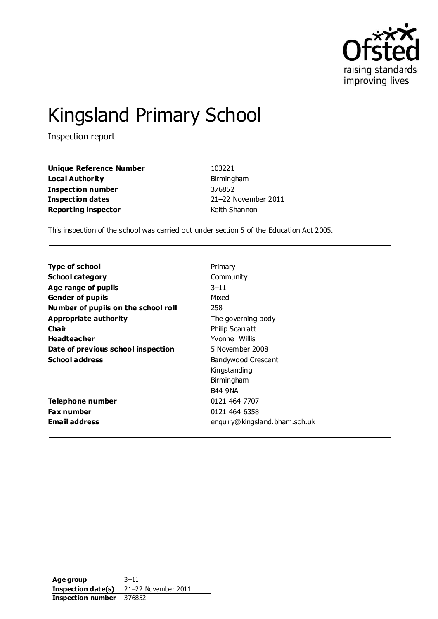

# Kingsland Primary School

Inspection report

**Unique Reference Number** 103221 **Local Authority Birmingham Inspection number** 376852 **Inspection dates** 21–22 November 2011 **Reporting inspector Contract Contract Contract Contract Contract Contract Contract Contract Contract Contract Contract Contract Contract Contract Contract Contract Contract Contract Contract Contract Contract Contract C** 

This inspection of the school was carried out under section 5 of the Education Act 2005.

| Type of school                      | Primary                       |
|-------------------------------------|-------------------------------|
| <b>School category</b>              | Community                     |
| Age range of pupils                 | $3 - 11$                      |
| <b>Gender of pupils</b>             | Mixed                         |
| Number of pupils on the school roll | 258                           |
| Appropriate authority               | The governing body            |
| Cha ir                              | <b>Philip Scarratt</b>        |
| <b>Headteacher</b>                  | Yvonne Willis                 |
| Date of previous school inspection  | 5 November 2008               |
| <b>School address</b>               | Bandywood Crescent            |
|                                     | Kingstanding                  |
|                                     | Birmingham                    |
|                                     | <b>B44 9NA</b>                |
| Telephone number                    | 0121 464 7707                 |
| Fax number                          | 0121 464 6358                 |
| Email address                       | enquiry@kingsland.bham.sch.uk |
|                                     |                               |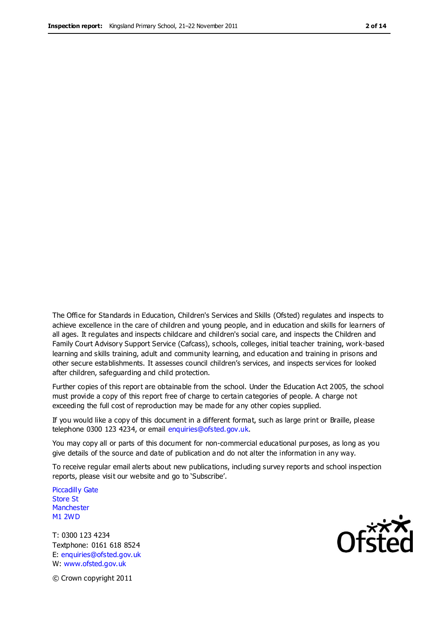The Office for Standards in Education, Children's Services and Skills (Ofsted) regulates and inspects to achieve excellence in the care of children and young people, and in education and skills for learners of all ages. It regulates and inspects childcare and children's social care, and inspects the Children and Family Court Advisory Support Service (Cafcass), schools, colleges, initial teacher training, work-based learning and skills training, adult and community learning, and education and training in prisons and other secure establishments. It assesses council children's services, and inspects services for looked after children, safeguarding and child protection.

Further copies of this report are obtainable from the school. Under the Education Act 2005, the school must provide a copy of this report free of charge to certain categories of people. A charge not exceeding the full cost of reproduction may be made for any other copies supplied.

If you would like a copy of this document in a different format, such as large print or Braille, please telephone 0300 123 4234, or email enquiries@ofsted.gov.uk.

You may copy all or parts of this document for non-commercial educational purposes, as long as you give details of the source and date of publication and do not alter the information in any way.

To receive regular email alerts about new publications, including survey reports and school inspection reports, please visit our website and go to 'Subscribe'.

Piccadilly Gate Store St **Manchester** M1 2WD

T: 0300 123 4234 Textphone: 0161 618 8524 E: enquiries@ofsted.gov.uk W: www.ofsted.gov.uk

© Crown copyright 2011

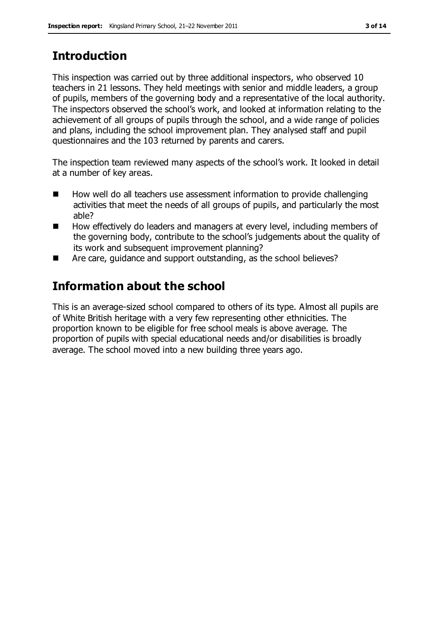### **Introduction**

This inspection was carried out by three additional inspectors, who observed 10 teachers in 21 lessons. They held meetings with senior and middle leaders, a group of pupils, members of the governing body and a representative of the local authority. The inspectors observed the school's work, and looked at information relating to the achievement of all groups of pupils through the school, and a wide range of policies and plans, including the school improvement plan. They analysed staff and pupil questionnaires and the 103 returned by parents and carers.

The inspection team reviewed many aspects of the school's work. It looked in detail at a number of key areas.

- How well do all teachers use assessment information to provide challenging activities that meet the needs of all groups of pupils, and particularly the most able?
- How effectively do leaders and managers at every level, including members of the governing body, contribute to the school's judgements about the quality of its work and subsequent improvement planning?
- Are care, guidance and support outstanding, as the school believes?

### **Information about the school**

This is an average-sized school compared to others of its type. Almost all pupils are of White British heritage with a very few representing other ethnicities. The proportion known to be eligible for free school meals is above average. The proportion of pupils with special educational needs and/or disabilities is broadly average. The school moved into a new building three years ago.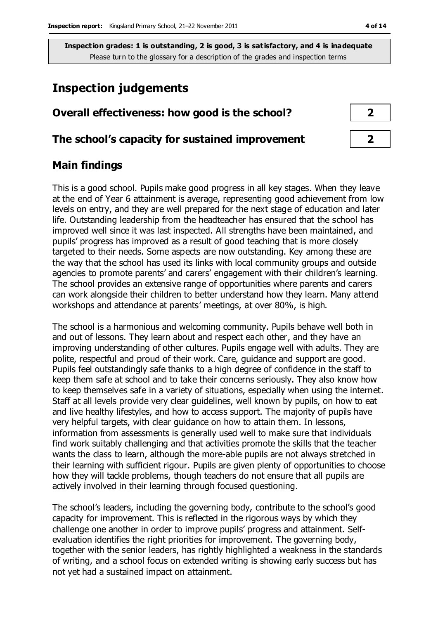#### **Inspection judgements**

# **Overall effectiveness: how good is the school? 2 The school's capacity for sustained improvement 2**

#### **Main findings**

This is a good school. Pupils make good progress in all key stages. When they leave at the end of Year 6 attainment is average, representing good achievement from low levels on entry, and they are well prepared for the next stage of education and later life. Outstanding leadership from the headteacher has ensured that the school has improved well since it was last inspected. All strengths have been maintained, and pupils' progress has improved as a result of good teaching that is more closely targeted to their needs. Some aspects are now outstanding. Key among these are the way that the school has used its links with local community groups and outside agencies to promote parents' and carers' engagement with their children's learning. The school provides an extensive range of opportunities where parents and carers can work alongside their children to better understand how they learn. Many attend workshops and attendance at parents' meetings, at over 80%, is high.

The school is a harmonious and welcoming community. Pupils behave well both in and out of lessons. They learn about and respect each other, and they have an improving understanding of other cultures. Pupils engage well with adults. They are polite, respectful and proud of their work. Care, guidance and support are good. Pupils feel outstandingly safe thanks to a high degree of confidence in the staff to keep them safe at school and to take their concerns seriously. They also know how to keep themselves safe in a variety of situations, especially when using the internet. Staff at all levels provide very clear guidelines, well known by pupils, on how to eat and live healthy lifestyles, and how to access support. The majority of pupils have very helpful targets, with clear guidance on how to attain them. In lessons, information from assessments is generally used well to make sure that individuals find work suitably challenging and that activities promote the skills that the teacher wants the class to learn, although the more-able pupils are not always stretched in their learning with sufficient rigour. Pupils are given plenty of opportunities to choose how they will tackle problems, though teachers do not ensure that all pupils are actively involved in their learning through focused questioning.

The school's leaders, including the governing body, contribute to the school's good capacity for improvement. This is reflected in the rigorous ways by which they challenge one another in order to improve pupils' progress and attainment. Selfevaluation identifies the right priorities for improvement. The governing body, together with the senior leaders, has rightly highlighted a weakness in the standards of writing, and a school focus on extended writing is showing early success but has not yet had a sustained impact on attainment.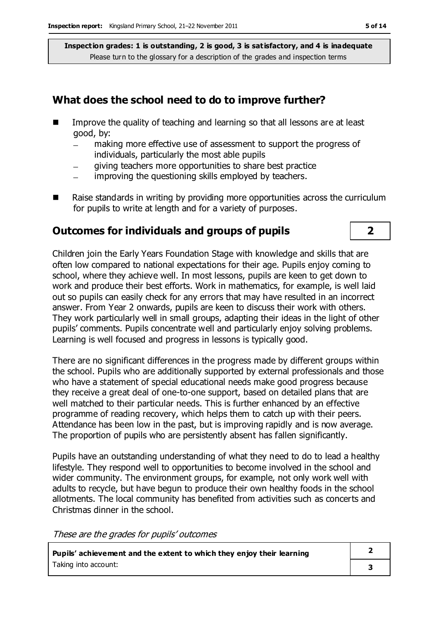#### **What does the school need to do to improve further?**

- **IMPROVE THE GUALARY IMAGE IS A THE VIOLET IM** Improve the quality of teaching and learning so that all lessons are at least good, by:
	- making more effective use of assessment to support the progress of individuals, particularly the most able pupils
	- giving teachers more opportunities to share best practice  $\overline{a}$
	- improving the questioning skills employed by teachers.
- $\blacksquare$  Raise standards in writing by providing more opportunities across the curriculum for pupils to write at length and for a variety of purposes.

#### **Outcomes for individuals and groups of pupils 2**

Children join the Early Years Foundation Stage with knowledge and skills that are often low compared to national expectations for their age. Pupils enjoy coming to school, where they achieve well. In most lessons, pupils are keen to get down to work and produce their best efforts. Work in mathematics, for example, is well laid out so pupils can easily check for any errors that may have resulted in an incorrect answer. From Year 2 onwards, pupils are keen to discuss their work with others. They work particularly well in small groups, adapting their ideas in the light of other pupils' comments. Pupils concentrate well and particularly enjoy solving problems. Learning is well focused and progress in lessons is typically good.

There are no significant differences in the progress made by different groups within the school. Pupils who are additionally supported by external professionals and those who have a statement of special educational needs make good progress because they receive a great deal of one-to-one support, based on detailed plans that are well matched to their particular needs. This is further enhanced by an effective programme of reading recovery, which helps them to catch up with their peers. Attendance has been low in the past, but is improving rapidly and is now average. The proportion of pupils who are persistently absent has fallen significantly.

Pupils have an outstanding understanding of what they need to do to lead a healthy lifestyle. They respond well to opportunities to become involved in the school and wider community. The environment groups, for example, not only work well with adults to recycle, but have begun to produce their own healthy foods in the school allotments. The local community has benefited from activities such as concerts and Christmas dinner in the school.

These are the grades for pupils' outcomes

| Pupils' achievement and the extent to which they enjoy their learning |  |
|-----------------------------------------------------------------------|--|
| Taking into account:                                                  |  |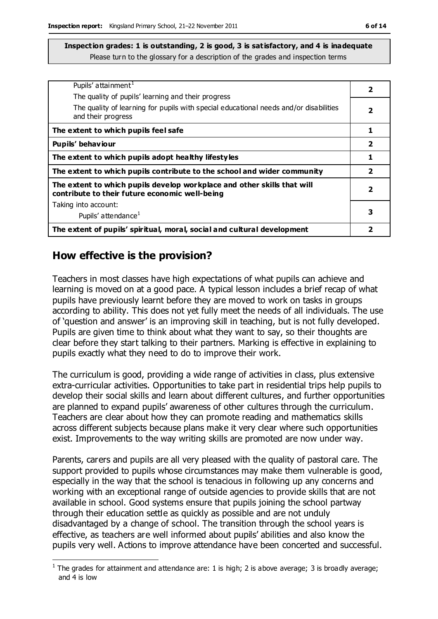| Pupils' attainment <sup>1</sup>                                                                                           | 2                       |
|---------------------------------------------------------------------------------------------------------------------------|-------------------------|
| The quality of pupils' learning and their progress                                                                        |                         |
| The quality of learning for pupils with special educational needs and/or disabilities<br>and their progress               | 2                       |
| The extent to which pupils feel safe                                                                                      | 1                       |
| Pupils' behaviour                                                                                                         | $\overline{\mathbf{2}}$ |
| The extent to which pupils adopt healthy lifestyles                                                                       | 1                       |
| The extent to which pupils contribute to the school and wider community                                                   | $\overline{2}$          |
| The extent to which pupils develop workplace and other skills that will<br>contribute to their future economic well-being | $\overline{\mathbf{2}}$ |
| Taking into account:                                                                                                      |                         |
| Pupils' attendance <sup>1</sup>                                                                                           | 3                       |
| The extent of pupils' spiritual, moral, social and cultural development                                                   | 2                       |

#### **How effective is the provision?**

Teachers in most classes have high expectations of what pupils can achieve and learning is moved on at a good pace. A typical lesson includes a brief recap of what pupils have previously learnt before they are moved to work on tasks in groups according to ability. This does not yet fully meet the needs of all individuals. The use of 'question and answer' is an improving skill in teaching, but is not fully developed. Pupils are given time to think about what they want to say, so their thoughts are clear before they start talking to their partners. Marking is effective in explaining to pupils exactly what they need to do to improve their work.

The curriculum is good, providing a wide range of activities in class, plus extensive extra-curricular activities. Opportunities to take part in residential trips help pupils to develop their social skills and learn about different cultures, and further opportunities are planned to expand pupils' awareness of other cultures through the curriculum. Teachers are clear about how they can promote reading and mathematics skills across different subjects because plans make it very clear where such opportunities exist. Improvements to the way writing skills are promoted are now under way.

Parents, carers and pupils are all very pleased with the quality of pastoral care. The support provided to pupils whose circumstances may make them vulnerable is good, especially in the way that the school is tenacious in following up any concerns and working with an exceptional range of outside agencies to provide skills that are not available in school. Good systems ensure that pupils joining the school partway through their education settle as quickly as possible and are not unduly disadvantaged by a change of school. The transition through the school years is effective, as teachers are well informed about pupils' abilities and also know the pupils very well. Actions to improve attendance have been concerted and successful.

 $\overline{a}$ <sup>1</sup> The grades for attainment and attendance are: 1 is high; 2 is above average; 3 is broadly average; and 4 is low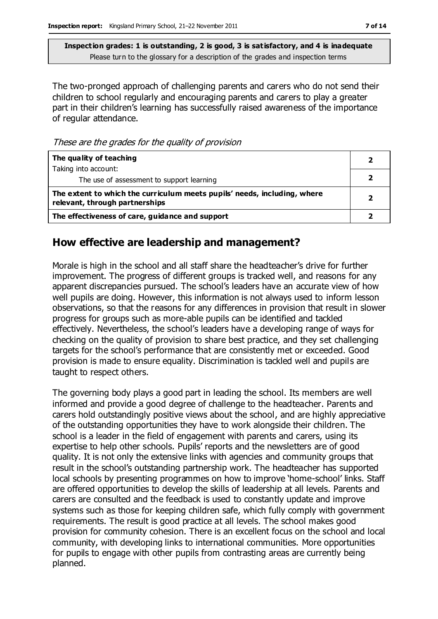The two-pronged approach of challenging parents and carers who do not send their children to school regularly and encouraging parents and carers to play a greater part in their children's learning has successfully raised awareness of the importance of regular attendance.

These are the grades for the quality of provision

| The quality of teaching                                                                                    |  |
|------------------------------------------------------------------------------------------------------------|--|
| Taking into account:                                                                                       |  |
| The use of assessment to support learning                                                                  |  |
| The extent to which the curriculum meets pupils' needs, including, where<br>relevant, through partnerships |  |
| The effectiveness of care, guidance and support                                                            |  |

#### **How effective are leadership and management?**

Morale is high in the school and all staff share the headteacher's drive for further improvement. The progress of different groups is tracked well, and reasons for any apparent discrepancies pursued. The school's leaders have an accurate view of how well pupils are doing. However, this information is not always used to inform lesson observations, so that the reasons for any differences in provision that result in slower progress for groups such as more-able pupils can be identified and tackled effectively. Nevertheless, the school's leaders have a developing range of ways for checking on the quality of provision to share best practice, and they set challenging targets for the school's performance that are consistently met or exceeded. Good provision is made to ensure equality. Discrimination is tackled well and pupils are taught to respect others.

The governing body plays a good part in leading the school. Its members are well informed and provide a good degree of challenge to the headteacher. Parents and carers hold outstandingly positive views about the school, and are highly appreciative of the outstanding opportunities they have to work alongside their children. The school is a leader in the field of engagement with parents and carers, using its expertise to help other schools. Pupils' reports and the newsletters are of good quality. It is not only the extensive links with agencies and community groups that result in the school's outstanding partnership work. The headteacher has supported local schools by presenting programmes on how to improve 'home-school' links. Staff are offered opportunities to develop the skills of leadership at all levels. Parents and carers are consulted and the feedback is used to constantly update and improve systems such as those for keeping children safe, which fully comply with government requirements. The result is good practice at all levels. The school makes good provision for community cohesion. There is an excellent focus on the school and local community, with developing links to international communities. More opportunities for pupils to engage with other pupils from contrasting areas are currently being planned.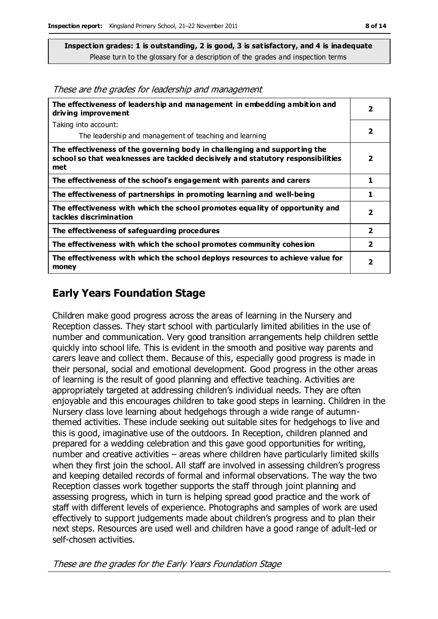These are the grades for leadership and management

| The effectiveness of leadership and management in embedding ambition and<br>driving improvement                                                                     | 2                       |
|---------------------------------------------------------------------------------------------------------------------------------------------------------------------|-------------------------|
| Taking into account:                                                                                                                                                |                         |
| The leadership and management of teaching and learning                                                                                                              | 2                       |
| The effectiveness of the governing body in challenging and supporting the<br>school so that weaknesses are tackled decisively and statutory responsibilities<br>met | 2                       |
| The effectiveness of the school's engagement with parents and carers                                                                                                | 1                       |
| The effectiveness of partnerships in promoting learning and well-being                                                                                              | 1                       |
| The effectiveness with which the school promotes equality of opportunity and<br>tackles discrimination                                                              | 2                       |
| The effectiveness of safeguarding procedures                                                                                                                        | $\overline{\mathbf{2}}$ |
| The effectiveness with which the school promotes community cohesion                                                                                                 | $\overline{\mathbf{2}}$ |
| The effectiveness with which the school deploys resources to achieve value for<br>money                                                                             | $\overline{\mathbf{2}}$ |

#### **Early Years Foundation Stage**

Children make good progress across the areas of learning in the Nursery and Reception classes. They start school with particularly limited abilities in the use of number and communication. Very good transition arrangements help children settle quickly into school life. This is evident in the smooth and positive way parents and carers leave and collect them. Because of this, especially good progress is made in their personal, social and emotional development. Good progress in the other areas of learning is the result of good planning and effective teaching. Activities are appropriately targeted at addressing children's individual needs. They are often enjoyable and this encourages children to take good steps in learning. Children in the Nursery class love learning about hedgehogs through a wide range of autumnthemed activities. These include seeking out suitable sites for hedgehogs to live and this is good, imaginative use of the outdoors. In Reception, children planned and prepared for a wedding celebration and this gave good opportunities for writing, number and creative activities – areas where children have particularly limited skills when they first join the school. All staff are involved in assessing children's progress and keeping detailed records of formal and informal observations. The way the two Reception classes work together supports the staff through joint planning and assessing progress, which in turn is helping spread good practice and the work of staff with different levels of experience. Photographs and samples of work are used effectively to support judgements made about children's progress and to plan their next steps. Resources are used well and children have a good range of adult-led or self-chosen activities.

These are the grades for the Early Years Foundation Stage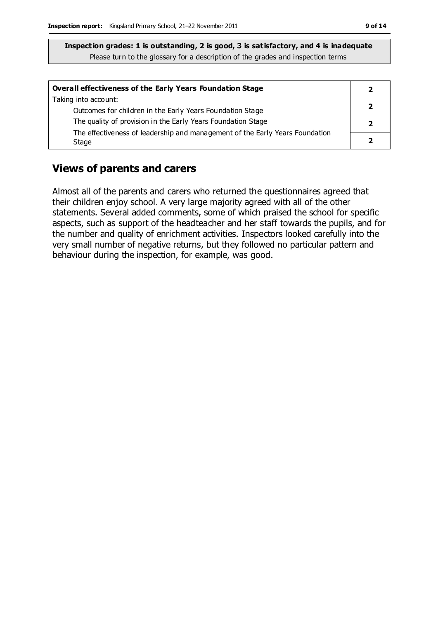| Overall effectiveness of the Early Years Foundation Stage                             |  |
|---------------------------------------------------------------------------------------|--|
| Taking into account:                                                                  |  |
| Outcomes for children in the Early Years Foundation Stage                             |  |
| The quality of provision in the Early Years Foundation Stage                          |  |
| The effectiveness of leadership and management of the Early Years Foundation<br>Stage |  |

#### **Views of parents and carers**

Almost all of the parents and carers who returned the questionnaires agreed that their children enjoy school. A very large majority agreed with all of the other statements. Several added comments, some of which praised the school for specific aspects, such as support of the headteacher and her staff towards the pupils, and for the number and quality of enrichment activities. Inspectors looked carefully into the very small number of negative returns, but they followed no particular pattern and behaviour during the inspection, for example, was good.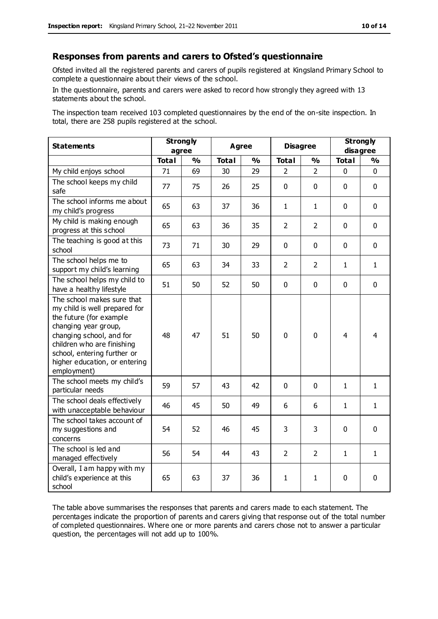#### **Responses from parents and carers to Ofsted's questionnaire**

Ofsted invited all the registered parents and carers of pupils registered at Kingsland Primary School to complete a questionnaire about their views of the school.

In the questionnaire, parents and carers were asked to record how strongly they agreed with 13 statements about the school.

The inspection team received 103 completed questionnaires by the end of the on-site inspection. In total, there are 258 pupils registered at the school.

| <b>Statements</b>                                                                                                                                                                                                                                       | <b>Strongly</b><br>agree |               | <b>Agree</b> |               | <b>Disagree</b> |                | <b>Strongly</b><br>disagree |               |
|---------------------------------------------------------------------------------------------------------------------------------------------------------------------------------------------------------------------------------------------------------|--------------------------|---------------|--------------|---------------|-----------------|----------------|-----------------------------|---------------|
|                                                                                                                                                                                                                                                         | <b>Total</b>             | $\frac{0}{0}$ | <b>Total</b> | $\frac{1}{2}$ | <b>Total</b>    | $\frac{0}{0}$  | <b>Total</b>                | $\frac{1}{2}$ |
| My child enjoys school                                                                                                                                                                                                                                  | 71                       | 69            | 30           | 29            | $\mathcal{P}$   | $\mathcal{P}$  | 0                           | $\Omega$      |
| The school keeps my child<br>safe                                                                                                                                                                                                                       | 77                       | 75            | 26           | 25            | $\pmb{0}$       | $\mathbf 0$    | $\mathbf{0}$                | $\mathbf 0$   |
| The school informs me about<br>my child's progress                                                                                                                                                                                                      | 65                       | 63            | 37           | 36            | $\mathbf{1}$    | $\mathbf{1}$   | $\mathbf 0$                 | $\mathbf 0$   |
| My child is making enough<br>progress at this school                                                                                                                                                                                                    | 65                       | 63            | 36           | 35            | $\overline{2}$  | $\overline{2}$ | $\mathbf 0$                 | $\mathbf 0$   |
| The teaching is good at this<br>school                                                                                                                                                                                                                  | 73                       | 71            | 30           | 29            | 0               | $\mathbf 0$    | $\mathbf 0$                 | $\mathbf 0$   |
| The school helps me to<br>support my child's learning                                                                                                                                                                                                   | 65                       | 63            | 34           | 33            | $\overline{2}$  | 2              | $\mathbf{1}$                | $\mathbf{1}$  |
| The school helps my child to<br>have a healthy lifestyle                                                                                                                                                                                                | 51                       | 50            | 52           | 50            | 0               | $\mathbf 0$    | $\mathbf 0$                 | $\mathbf 0$   |
| The school makes sure that<br>my child is well prepared for<br>the future (for example<br>changing year group,<br>changing school, and for<br>children who are finishing<br>school, entering further or<br>higher education, or entering<br>employment) | 48                       | 47            | 51           | 50            | 0               | $\mathbf 0$    | $\overline{4}$              | 4             |
| The school meets my child's<br>particular needs                                                                                                                                                                                                         | 59                       | 57            | 43           | 42            | $\mathbf 0$     | $\mathbf{0}$   | $\mathbf{1}$                | $\mathbf{1}$  |
| The school deals effectively<br>with unacceptable behaviour                                                                                                                                                                                             | 46                       | 45            | 50           | 49            | 6               | 6              | 1                           | 1             |
| The school takes account of<br>my suggestions and<br>concerns                                                                                                                                                                                           | 54                       | 52            | 46           | 45            | 3               | 3              | $\mathbf 0$                 | $\mathbf 0$   |
| The school is led and<br>managed effectively                                                                                                                                                                                                            | 56                       | 54            | 44           | 43            | $\overline{2}$  | $\overline{2}$ | $\mathbf{1}$                | $\mathbf{1}$  |
| Overall, I am happy with my<br>child's experience at this<br>school                                                                                                                                                                                     | 65                       | 63            | 37           | 36            | $\mathbf{1}$    | 1              | $\mathbf 0$                 | 0             |

The table above summarises the responses that parents and carers made to each statement. The percentages indicate the proportion of parents and carers giving that response out of the total number of completed questionnaires. Where one or more parents and carers chose not to answer a particular question, the percentages will not add up to 100%.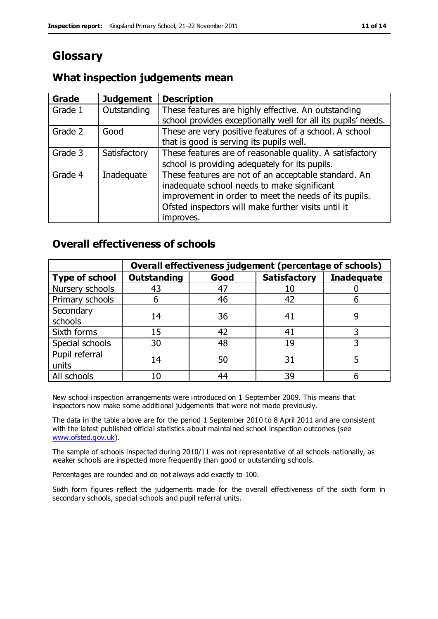## **Glossary**

#### **What inspection judgements mean**

| <b>Grade</b> | <b>Judgement</b> | <b>Description</b>                                                                                                                                                                                                               |
|--------------|------------------|----------------------------------------------------------------------------------------------------------------------------------------------------------------------------------------------------------------------------------|
| Grade 1      | Outstanding      | These features are highly effective. An outstanding<br>school provides exceptionally well for all its pupils' needs.                                                                                                             |
| Grade 2      | Good             | These are very positive features of a school. A school<br>that is good is serving its pupils well.                                                                                                                               |
| Grade 3      | Satisfactory     | These features are of reasonable quality. A satisfactory<br>school is providing adequately for its pupils.                                                                                                                       |
| Grade 4      | Inadequate       | These features are not of an acceptable standard. An<br>inadequate school needs to make significant<br>improvement in order to meet the needs of its pupils.<br>Ofsted inspectors will make further visits until it<br>improves. |

#### **Overall effectiveness of schools**

|                         |                    |      | Overall effectiveness judgement (percentage of schools) |                   |
|-------------------------|--------------------|------|---------------------------------------------------------|-------------------|
| <b>Type of school</b>   | <b>Outstanding</b> | Good | <b>Satisfactory</b>                                     | <b>Inadequate</b> |
| Nursery schools         | 43                 | 47   | 10                                                      |                   |
| Primary schools         | ჩ                  | 46   | 42                                                      |                   |
| Secondary<br>schools    | 14                 | 36   | 41                                                      |                   |
| Sixth forms             | 15                 | 42   | 41                                                      |                   |
| Special schools         | 30                 | 48   | 19                                                      |                   |
| Pupil referral<br>units | 14                 | 50   | 31                                                      |                   |
| All schools             | 10                 | 44   | 39                                                      |                   |

New school inspection arrangements were introduced on 1 September 2009. This means that inspectors now make some additional judgements that were not made previously.

The data in the table above are for the period 1 September 2010 to 8 April 2011 and are consistent with the latest published official statistics about maintained school inspection outcomes (see [www.ofsted.gov.uk\)](http://www.ofsted.gov.uk/).

The sample of schools inspected during 2010/11 was not representative of all schools nationally, as weaker schools are inspected more frequently than good or outstanding schools.

Percentages are rounded and do not always add exactly to 100.

Sixth form figures reflect the judgements made for the overall effectiveness of the sixth form in secondary schools, special schools and pupil referral units.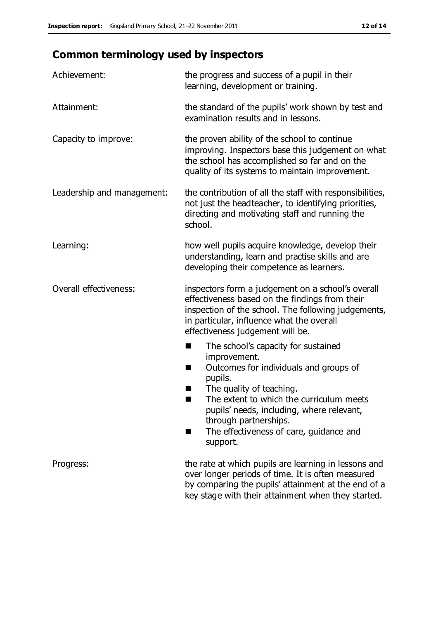# **Common terminology used by inspectors**

| Achievement:                  | the progress and success of a pupil in their<br>learning, development or training.                                                                                                                                                                                                                                           |
|-------------------------------|------------------------------------------------------------------------------------------------------------------------------------------------------------------------------------------------------------------------------------------------------------------------------------------------------------------------------|
| Attainment:                   | the standard of the pupils' work shown by test and<br>examination results and in lessons.                                                                                                                                                                                                                                    |
| Capacity to improve:          | the proven ability of the school to continue<br>improving. Inspectors base this judgement on what<br>the school has accomplished so far and on the<br>quality of its systems to maintain improvement.                                                                                                                        |
| Leadership and management:    | the contribution of all the staff with responsibilities,<br>not just the headteacher, to identifying priorities,<br>directing and motivating staff and running the<br>school.                                                                                                                                                |
| Learning:                     | how well pupils acquire knowledge, develop their<br>understanding, learn and practise skills and are<br>developing their competence as learners.                                                                                                                                                                             |
| <b>Overall effectiveness:</b> | inspectors form a judgement on a school's overall<br>effectiveness based on the findings from their<br>inspection of the school. The following judgements,<br>in particular, influence what the overall<br>effectiveness judgement will be.                                                                                  |
|                               | The school's capacity for sustained<br>improvement.<br>Outcomes for individuals and groups of<br>H<br>pupils.<br>The quality of teaching.<br>٠<br>The extent to which the curriculum meets<br>pupils' needs, including, where relevant,<br>through partnerships.<br>The effectiveness of care, guidance and<br>H<br>support. |
| Progress:                     | the rate at which pupils are learning in lessons and<br>over longer periods of time. It is often measured<br>by comparing the pupils' attainment at the end of a<br>key stage with their attainment when they started.                                                                                                       |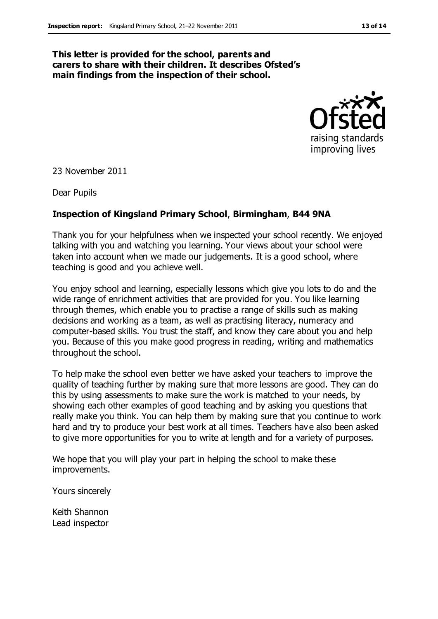#### **This letter is provided for the school, parents and carers to share with their children. It describes Ofsted's main findings from the inspection of their school.**



23 November 2011

Dear Pupils

#### **Inspection of Kingsland Primary School**, **Birmingham**, **B44 9NA**

Thank you for your helpfulness when we inspected your school recently. We enjoyed talking with you and watching you learning. Your views about your school were taken into account when we made our judgements. It is a good school, where teaching is good and you achieve well.

You enjoy school and learning, especially lessons which give you lots to do and the wide range of enrichment activities that are provided for you. You like learning through themes, which enable you to practise a range of skills such as making decisions and working as a team, as well as practising literacy, numeracy and computer-based skills. You trust the staff, and know they care about you and help you. Because of this you make good progress in reading, writing and mathematics throughout the school.

To help make the school even better we have asked your teachers to improve the quality of teaching further by making sure that more lessons are good. They can do this by using assessments to make sure the work is matched to your needs, by showing each other examples of good teaching and by asking you questions that really make you think. You can help them by making sure that you continue to work hard and try to produce your best work at all times. Teachers have also been asked to give more opportunities for you to write at length and for a variety of purposes.

We hope that you will play your part in helping the school to make these improvements.

Yours sincerely

Keith Shannon Lead inspector